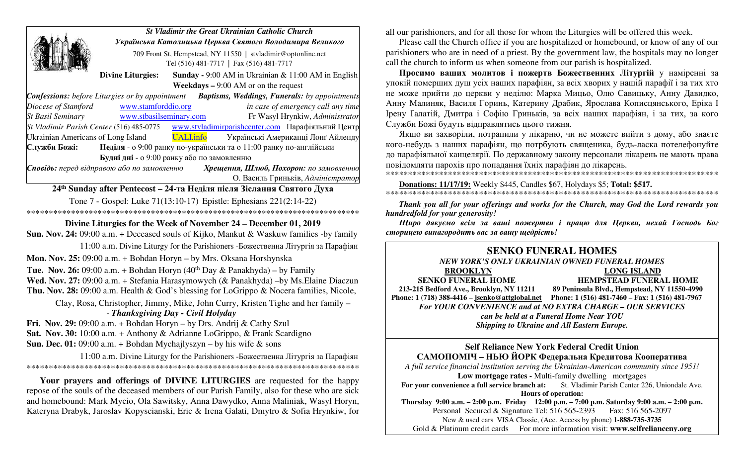|                                            |                                                          | <b>St Vladimir the Great Ukrainian Catholic Church</b>                                                      |  |
|--------------------------------------------|----------------------------------------------------------|-------------------------------------------------------------------------------------------------------------|--|
|                                            | Українська Католицька Церква Святого Володимира Великого |                                                                                                             |  |
|                                            |                                                          | 709 Front St, Hempstead, NY 11550   stvladimir@optonline.net<br>Tel (516) 481-7717   Fax (516) 481-7717     |  |
|                                            | <b>Divine Liturgies:</b>                                 | <b>Sunday - 9:00 AM</b> in Ukrainian & 11:00 AM in English                                                  |  |
|                                            |                                                          | <b>Weekdays –</b> 9:00 AM or on the request                                                                 |  |
|                                            |                                                          | <b>Confessions:</b> before Liturgies or by appointment <b>Baptisms, Weddings, Funerals:</b> by appointments |  |
| Diocese of Stamford                        | www.stamforddio.org                                      | in case of emergency call any time                                                                          |  |
| <b>St Basil Seminary</b>                   | www.stbasilseminary.com                                  | Fr Wasyl Hrynkiw, Administrator                                                                             |  |
|                                            |                                                          | St Vladimir Parish Center (516) 485-0775 www.stvladimirparishcenter.com Парафіяльний Центр                  |  |
| Ukrainian Americans of Long Island         |                                                          | UALI.info<br>Українські Американці Лонг Айленду                                                             |  |
| Служби Божі:                               |                                                          | Неділя - о 9:00 ранку по-українськи та о 11:00 ранку по-англійськи                                          |  |
|                                            | Будні дні - о 9:00 ранку або по замовленню               |                                                                                                             |  |
| Сповідь: перед відправою або по замовленню |                                                          | Хрещення, Шлюб, Похорон: по замовленню                                                                      |  |
|                                            |                                                          | О. Василь Гриньків, Адміністратор                                                                           |  |
|                                            |                                                          | 24 <sup>th</sup> Sunday after Pentecost - 24-та Неділя після Зіслання Святого Духа                          |  |
|                                            |                                                          | Tone 7 - Gospel: Luke 71(13:10-17) Epistle: Ephesians 221(2:14-22)                                          |  |
|                                            |                                                          |                                                                                                             |  |
|                                            |                                                          | Divine Liturgies for the Week of November 24 – December 01, 2019                                            |  |
|                                            |                                                          | <b>Sun. Nov. 24:</b> 09:00 a.m. + Deceased souls of Kijko, Mankut & Waskuw families -by family              |  |

11:00 a.m. Divine Liturgy for the Parishioners -Божественна Літургія за Парафіян

**Mon. Nov. 25:** 09:00 a.m. + Bohdan Horyn – by Mrs. Oksana Horshynska

**Tue. Nov. 26:** 09:00 a.m. + Bohdan Horyn (40<sup>th</sup> Day & Panakhyda) – by Family **Wed. Nov. 27:** 09:00 a.m. + Stefania Harasymowych (& Panakhyda) –by Ms.Elaine Diaczun **Thu. Nov. 28:** 09:00 a.m. Health & God's blessing for LoGrippo & Nocera families, Nicole,

Clay, Rosa, Christopher, Jimmy, Mike, John Curry, Kristen Tighe and her family –

#### - *Thanksgiving Day - Civil Holyday*

**Fri. Nov. 29:** 09:00 a.m. + Bohdan Horyn – by Drs. Andrij & Cathy Szul **Sat. Nov. 30:** 10:00 a.m. + Anthony & Adrianne LoGrippo, & Frank Scardigno **Sun. Dec. 01:** 09:00 a.m. + Bohdan Mychajlyszyn – by his wife & sons

 11:00 a.m. Divine Liturgy for the Parishioners -Божественна Літургія за Парафіян \*\*\*\*\*\*\*\*\*\*\*\*\*\*\*\*\*\*\*\*\*\*\*\*\*\*\*\*\*\*\*\*\*\*\*\*\*\*\*\*\*\*\*\*\*\*\*\*\*\*\*\*\*\*\*\*\*\*\*\*\*\*\*\*\*\*\*\*\*\*\*\*\*\*\*

**Your prayers and offerings of DIVINE LITURGIES** are requested for the happy repose of the souls of the deceased members of our Parish Family, also for these who are sick and homebound: Mark Mycio, Ola Sawitsky, Anna Dawydko, Anna Maliniak, Wasyl Horyn, Kateryna Drabyk, Jaroslav Kopyscianski, Eric & Irena Galati, Dmytro & Sofia Hrynkiw, for all our parishioners, and for all those for whom the Liturgies will be offered this week.

 Please call the Church office if you are hospitalized or homebound, or know of any of our parishioners who are in need of a priest. By the government law, the hospitals may no longer call the church to inform us when someone from our parish is hospitalized.

**Просимо вашиx молитов і пожертв Божественних Літургій** у наміренні за упокiй помершиx душ усix нашиx парафiян, за всix xвориx у нашiй парафiї i за тиx xто не може прийти до церкви у недiлю: Марка Мицьо, Олю Савицьку, Анну Давидко, Анну Малиняк, Василя Горинь, Катерину Драбик, Ярослава Кописцянського, Еріка І Ірену Ґалатій, Дмитра і Софію Гриньків, за всix нашиx парафiян, i за тиx, за кого Служби Божi будуть вiдправлятись цього тижня.

Якщо ви заxворiли, потрапили у лiкарню, чи не можете вийти з дому, або знаєте кого-небудь з нашиx парафiян, що потрбують священика, будь-ласка потелефонуйте до парафiяльної канцелярiї. По державному закону персонали лiкарень не мають права повiдомляти пароxiв про попадання їxнix парафiян до лiкарень.

\*\*\*\*\*\*\*\*\*\*\*\*\*\*\*\*\*\*\*\*\*\*\*\*\*\*\*\*\*\*\*\*\*\*\*\*\*\*\*\*\*\*\*\*\*\*\*\*\*\*\*\*\*\*\*\*\*\*\*\*\*\*\*\*\*\*\*\*\*\*\*\*\*\*\*

**Donations: 11/17/19:** Weekly \$445, Candles \$67, Holydays \$5; **Total: \$517.**

\*\*\*\*\*\*\*\*\*\*\*\*\*\*\*\*\*\*\*\*\*\*\*\*\*\*\*\*\*\*\*\*\*\*\*\*\*\*\*\*\*\*\*\*\*\*\*\*\*\*\*\*\*\*\*\*\*\*\*\*\*\*\*\*\*\*\*\*\*\*\*\*\*\*\*

*Thank you all for your offerings and works for the Church, may God the Lord rewards you hundredfold for your generosity!* 

*Щирo дякуємо всім за ваші пожертви і працю для Церкви, нехай Господь Бог сторицею винагородить вас за вашу щедрість!* 

#### **SENKO FUNERAL HOMES** *NEW YORK'S ONLY UKRAINIAN OWNED FUNERAL HOMES*

**BROOKLYN** LONG ISLAND

**SENKO FUNERAL HOME HEMPSTEAD FUNERAL HOME 213-215 Bedford Ave., Brooklyn, NY 11211 89 Peninsula Blvd., Hempstead, NY 11550-4990 Phone: 1 (718) 388-4416 – jsenko@attglobal.net Phone: 1 (516) 481-7460 – Fax: 1 (516) 481-7967** *For YOUR CONVENIENCE and at NO EXTRA CHARGE – OUR SERVICES can be held at a Funeral Home Near YOU Shipping to Ukraine and All Eastern Europe.* 

### **Self Reliance New York Federal Credit Union САМОПОМІЧ – НЬЮ ЙОРК Федеральна Кредитова Кооператива**

*A full service financial institution serving the Ukrainian-American community since 1951!*  **Low mortgage rates - Multi-family dwelling mortgages ence a full service branch at: St. Vladimir Parish Center 226, Uniondale Ave.** For your convenience a full service branch at:

**Hours of operation:**

**Thursday 9:00 a.m. – 2:00 p.m. Friday 12:00 p.m. – 7:00 p.m. Saturday 9:00 a.m. – 2:00 p.m.** Personal Secured & Signature Tel: 516 565-2393 Fax: 516 565-2097 New & used cars VISA Classic, (Acc. Access by phone) **1-888-735-3735** Gold & Platinum credit cards For more information visit: **www.selfrelianceny.org**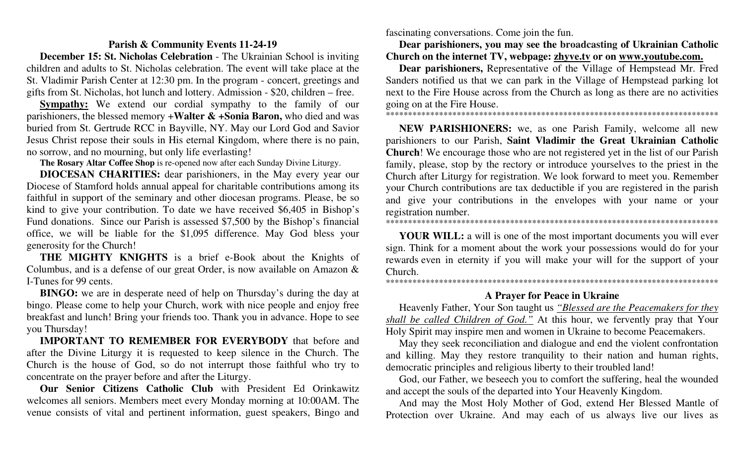## **Parish & Community Events 11-24-19**

**December 15: St. Nicholas Celebration** - The Ukrainian School is inviting children and adults to St. Nicholas celebration. The event will take place at the St. Vladimir Parish Center at 12:30 pm. In the program - concert, greetings and gifts from St. Nicholas, hot lunch and lottery. Admission - \$20, children – free.

**Sympathy:** We extend our cordial sympathy to the family of our parishioners, the blessed memory +**Walter & +Sonia Baron,** who died and was buried from St. Gertrude RCC in Bayville, NY. May our Lord God and Savior Jesus Christ repose their souls in His eternal Kingdom, where there is no pain, no sorrow, and no mourning, but only life everlasting!

 **The Rosary Altar Coffee Shop** is re-opened now after each Sunday Divine Liturgy.

**DIOCESAN CHARITIES:** dear parishioners, in the May every year our Diocese of Stamford holds annual appeal for charitable contributions among its faithful in support of the seminary and other diocesan programs. Please, be so kind to give your contribution. To date we have received \$6,405 in Bishop's Fund donations. Since our Parish is assessed \$7,500 by the Bishop's financial office, we will be liable for the \$1,095 difference. May God bless your generosity for the Church!

**THE MIGHTY KNIGHTS** is a brief e-Book about the Knights of Columbus, and is a defense of our great Order, is now available on Amazon & І-Tunes for 99 cents.

 **BINGO:** we are in desperate need of help on Thursday's during the day at bingo. Please come to help your Church, work with nice people and enjoy free breakfast and lunch! Bring your friends too. Thank you in advance. Hope to see you Thursday!

**IMPORTANT TO REMEMBER FOR EVERYBODY** that before and after the Divine Liturgy it is requested to keep silence in the Church. The Church is the house of God, so do not interrupt those faithful who try to concentrate on the prayer before and after the Liturgy.

**Our Senior Citizens Catholic Club** with President Ed Orinkawitz welcomes all seniors. Members meet every Monday morning at 10:00AM. The venue consists of vital and pertinent information, guest speakers, Bingo and

fascinating conversations. Come join the fun.

**Dear parishioners, you may see the broadcasting of Ukrainian Catholic Church on the internet TV, webpage: zhyve.tv or on www.youtube.com.**

**Dear parishioners,** Representative of the Village of Hempstead Mr. Fred Sanders notified us that we can park in the Village of Hempstead parking lot next to the Fire House across from the Church as long as there are no activities going on at the Fire House.

\*\*\*\*\*\*\*\*\*\*\*\*\*\*\*\*\*\*\*\*\*\*\*\*\*\*\*\*\*\*\*\*\*\*\*\*\*\*\*\*\*\*\*\*\*\*\*\*\*\*\*\*\*\*\*\*\*\*\*\*\*\*\*\*\*\*\*\*\*\*\*\*\*\*\*

**NEW PARISHIONERS:** we, as one Parish Family, welcome all new parishioners to our Parish, **Saint Vladimir the Great Ukrainian Catholic Church**! We encourage those who are not registered yet in the list of our Parish family, please, stop by the rectory or introduce yourselves to the priest in the Church after Liturgy for registration. We look forward to meet you. Remember your Church contributions are tax deductible if you are registered in the parish and give your contributions in the envelopes with your name or your registration number.

\*\*\*\*\*\*\*\*\*\*\*\*\*\*\*\*\*\*\*\*\*\*\*\*\*\*\*\*\*\*\*\*\*\*\*\*\*\*\*\*\*\*\*\*\*\*\*\*\*\*\*\*\*\*\*\*\*\*\*\*\*\*\*\*\*\*\*\*\*\*\*\*\*\*\*

**YOUR WILL:** a will is one of the most important documents you will ever sign. Think for a moment about the work your possessions would do for your rewards even in eternity if you will make your will for the support of your Church.

\*\*\*\*\*\*\*\*\*\*\*\*\*\*\*\*\*\*\*\*\*\*\*\*\*\*\*\*\*\*\*\*\*\*\*\*\*\*\*\*\*\*\*\*\*\*\*\*\*\*\*\*\*\*\*\*\*\*\*\*\*\*\*\*\*\*\*\*\*\*\*\*\*\*\*

# **A Prayer for Peace in Ukraine**

Heavenly Father, Your Son taught us *"Blessed are the Peacemakers for they shall be called Children of God."* At this hour, we fervently pray that Your Holy Spirit may inspire men and women in Ukraine to become Peacemakers.

May they seek reconciliation and dialogue and end the violent confrontation and killing. May they restore tranquility to their nation and human rights, democratic principles and religious liberty to their troubled land!

God, our Father, we beseech you to comfort the suffering, heal the wounded and accept the souls of the departed into Your Heavenly Kingdom.

And may the Most Holy Mother of God, extend Her Blessed Mantle of Protection over Ukraine. And may each of us always live our lives as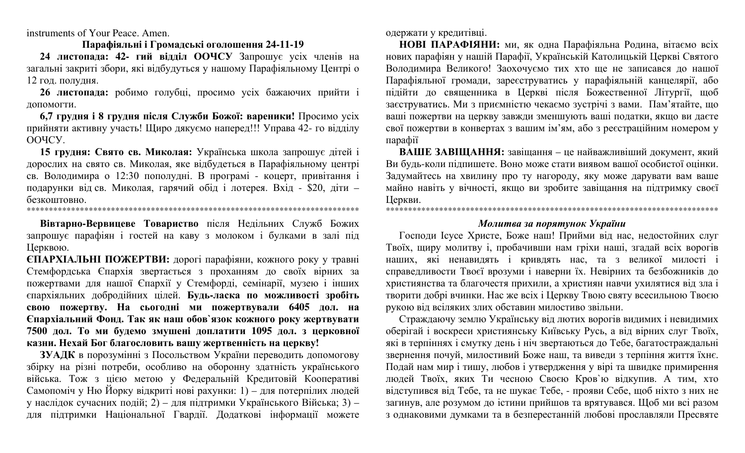instruments of Your Peace. Amen.

#### **Парафіяльні і Громадські оголошення 24-11-19**

**24 листопада: 42- гий відділ ООЧСУ** Запрошує усіх членів на загальні закриті збори, які відбудуться у нашому Парафіяльному Центрі о 12 год. полудня.

**26 листопада:** робимо голубці, просимо усіх бажаючих прийти і допомогти.

**6,7 грудня і 8 грудня після Служби Божої: вареники!** Просимо усіх прийняти активну участь! Щиро дякуємо наперед!!! Управа 42- го відділу ООЧСУ.

**15 грудня: Свято св. Миколая:** Українська школа запрошує дітей і дорослих на свято св. Миколая, яке відбудеться в Парафіяльному центрі св. Володимира о 12:30 пополудні. В програмі - коцерт, привітання і подарунки від св. Миколая, гарячий обід і лотерея. Вхід - \$20, діти – безкоштовно.

\*\*\*\*\*\*\*\*\*\*\*\*\*\*\*\*\*\*\*\*\*\*\*\*\*\*\*\*\*\*\*\*\*\*\*\*\*\*\*\*\*\*\*\*\*\*\*\*\*\*\*\*\*\*\*\*\*\*\*\*\*\*\*\*\*\*\*\*\*\*\*\*\*\*\*

**Вівтарно-Вервицеве Товариство** після Недільних Служб Божих запрошує парафіян і гостей на каву з молоком і булками в залі під Церквою.

**ЄПАРХІАЛЬНІ ПОЖЕРТВИ:** дорогі парафіяни, кожного року у травні Стемфордська Єпархія звертається з проханням до своїх вірних за пожертвами для нашої Єпархії у Стемфорді, семінарії, музею і інших єпархіяльних добродійних цілей. **Будь-ласка по можливості зробіть свою пожертву. На сьогодні ми пожертвували 6405 дол. на Єпархіальний Фонд. Так як наш обов`язок кожного року жертвувати 7500 дол. То ми будемо змушені доплатити 1095 дол. з церковної казни. Нехай Бог благословить вашу жертвенність на церкву!** 

**ЗУАДК** в порозумінні з Посольством України переводить допомогову збірку на різні потреби, особливо на оборонну здатність українського війська. Тож з цією метою у Федеральній Кредитовій Кооперативі Самопоміч у Ню Йорку відкриті нові рахунки: 1) – для потерпілих людей у наслідок сучасних подій; 2) – для підтримки Українського Війська; 3) – для підтримки Національної Гвардії. Додаткові інформації можете одержати у кредитівцi.

**НОВІ ПАРАФІЯНИ:** ми, як одна Парафіяльна Родина, вітаємо всіх нових парафіян у нашій Парафії, Українській Католицькій Церкві Святого Володимира Великого! Заохочуємо тих хто ще не записався до нашої Парафіяльної громади, зареєструватись у парафіяльній канцелярії, або підійти до священника в Церкві після Божественної Літургії, щоб заєструватись. Ми з приємністю чекаємо зустрічі з вами. Пам'ятайте, що вашi пожертви на церкву завжди зменшують вашi податки, якщо ви даєте свої пожертви в конвертаx з вашим iм'ям, або з реєстрацiйним номером у парафiї

**ВАШЕ ЗАВІЩАННЯ:** завіщання – це найважливіший документ, який Ви будь-коли підпишете. Воно може стати виявом вашої особистої оцінки. Задумайтесь на хвилину про ту нагороду, яку може дарувати вам ваше майно навіть у вічності, якщо ви зробите завіщання на підтримку своєї Церкви. \*\*\*\*\*\*\*\*\*\*\*\*\*\*\*\*\*\*\*\*\*\*\*\*\*\*\*\*\*\*\*\*\*\*\*\*\*\*\*\*\*\*\*\*\*\*\*\*\*\*\*\*\*\*\*\*\*\*\*\*\*\*\*\*\*\*\*\*\*\*\*\*\*\*\*

# *Молитва за порятунок України*

Господи Ісусе Христе, Боже наш! Прийми від нас, недостойних слуг Твоїх, щиру молитву і, пробачивши нам гріхи наші, згадай всіх ворогів наших, які ненавидять і кривдять нас, та з великої милості і справедливости Твоєї врозуми і наверни їх. Невірних та безбожників до християнства та благочестя прихили, а християн навчи ухилятися від зла і творити добрі вчинки. Нас же всіх і Церкву Твою святу всесильною Твоєю рукою від всіляких злих обставин милостиво звільни.

Страждаючу землю Українську від лютих ворогів видимих і невидимих оберігай і воскреси християнську Київську Русь, а від вірних слуг Твоїх, які в терпіннях і смутку день і ніч звертаються до Тебе, багатостраждальні звернення почуй, милостивий Боже наш, та виведи з терпіння життя їхнє. Подай нам мир і тишу, любов і утвердження у вірі та швидке примирення людей Твоїх, яких Ти чесною Своєю Кров`ю відкупив. А тим, хто відступився від Тебе, та не шукає Тебе, - прояви Себе, щоб ніхто з них не загинув, але розумом до істини прийшов та врятувався. Щоб ми всі разом з однаковими думками та в безперестанній любові прославляли Пресвяте